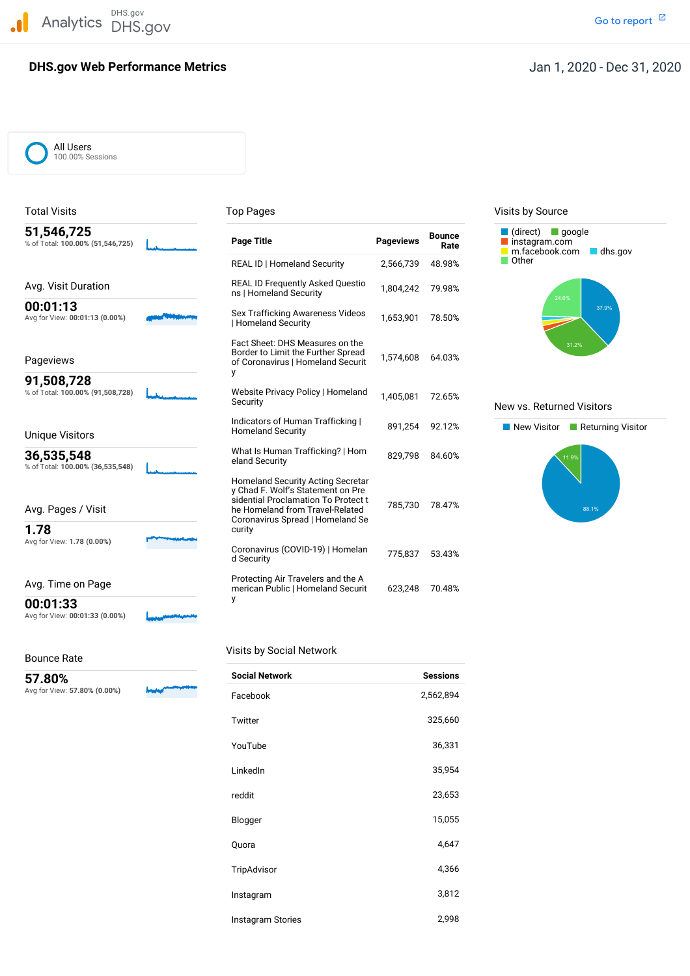DHS.gov Analytics DHS.gov and the contract of the contract of the contract of the contract of the contract of the contract of the contract of the contract of the contract of the contract of the contract of the contract of the cont

# **DHS.gov Web Performance Metrics**

All Users 100.00% Sessions

| 51,546,725<br>% of Total: 100.00% (51,546,725) | <b>Page Title</b>                                                                                                                                                                              | <b>Pageviews</b> | <b>Bounce</b><br>Rate | $(direct)$ google<br>instagram.com<br>m.facebook.com |
|------------------------------------------------|------------------------------------------------------------------------------------------------------------------------------------------------------------------------------------------------|------------------|-----------------------|------------------------------------------------------|
|                                                | REAL ID   Homeland Security                                                                                                                                                                    | 2,566,739        | 48.98%                | Other                                                |
| Avg. Visit Duration                            | <b>REAL ID Frequently Asked Questio</b><br>ns   Homeland Security                                                                                                                              | 1,804,242        | 79.98%                |                                                      |
| 00:01:13<br>Avg for View: 00:01:13 (0.00%)     | Sex Trafficking Awareness Videos<br>Homeland Security                                                                                                                                          | 1,653,901        | 78.50%                | 24.6%                                                |
| Pageviews                                      | Fact Sheet: DHS Measures on the<br>Border to Limit the Further Spread<br>of Coronavirus   Homeland Securit<br>у                                                                                | 1,574,608        | 64.03%                | 31.2%                                                |
| 91,508,728<br>% of Total: 100.00% (91,508,728) | Website Privacy Policy   Homeland<br>Security                                                                                                                                                  | 1,405,081        | 72.65%                | New vs. Returned Vis                                 |
| <b>Unique Visitors</b>                         | Indicators of Human Trafficking  <br><b>Homeland Security</b>                                                                                                                                  | 891,254          | 92.12%                | New Visitor<br>$\Box$ Re                             |
| 36,535,548<br>% of Total: 100.00% (36,535,548) | What Is Human Trafficking?   Hom<br>eland Security                                                                                                                                             | 829.798          | 84.60%                | 11.9%                                                |
| Avg. Pages / Visit<br>1.78                     | Homeland Security Acting Secretar<br>y Chad F. Wolf's Statement on Pre<br>sidential Proclamation To Protect t<br>he Homeland from Travel-Related<br>Coronavirus Spread   Homeland Se<br>curity | 785,730          | 78.47%                | 88                                                   |
| Avg for View: 1.78 (0.00%)                     | Coronavirus (COVID-19)   Homelan<br>d Security                                                                                                                                                 | 775.837          | 53.43%                |                                                      |
| Avg. Time on Page                              | Protecting Air Travelers and the A<br>merican Public   Homeland Securit                                                                                                                        | 623,248          | 70.48%                |                                                      |
| 00:01:33<br>Avg for View: 00:01:33 (0.00%)     | y                                                                                                                                                                                              |                  |                       |                                                      |

 Avg for View: **57.80% (0.00%) 57.80%**

Visits by Social Network Bounce Rate

| <b>Social Network</b> | <b>Sessions</b> |
|-----------------------|-----------------|
| Facebook              | 2,562,894       |
| Twitter               | 325,660         |
| YouTube               | 36,331          |
| LinkedIn              | 35,954          |
| reddit                | 23,653          |
| Blogger               | 15,055          |
| Quora                 | 4,647           |
| TripAdvisor           | 4,366           |
| Instagram             | 3,812           |
| Instagram Stories     | 2,998           |

Total Visits **Top Pages** Top Pages Top Pages Visits by Source



# % of Total: **100.00% (91,508,728)** Website Privacy Policy <sup>|</sup> Homeland 1,405,081 72.65% Security New vs. Returned Visitors

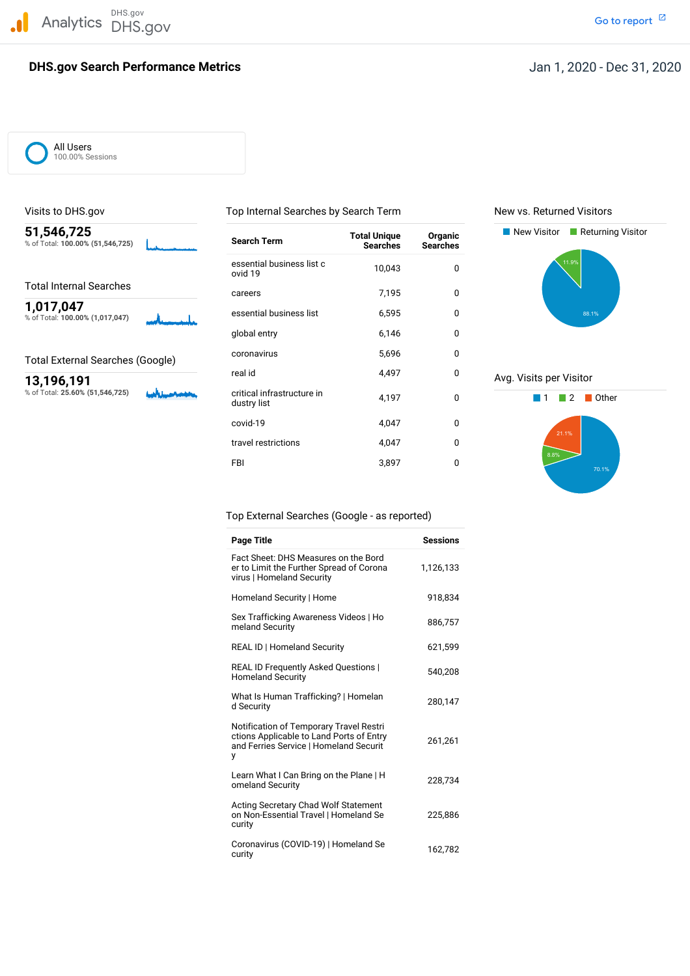

### **DHS.gov Search Performance Metrics**

Go to report<sup>[2]</sup>

All Users 100.00% Sessions

% of Total: 100.00% (51,546,725)

% of Total: 25.60% (51,546,725)

**1,017,047**<br>% of Total: 100.00% (1,017,047) **business list** essential business list 6,595 0 0 essential business list <sup>c</sup> 10,043 <sup>0</sup> ovid <sup>19</sup> essential business list **51,546,725** New Visitor Returning Visitor **Total Unique Organic** % of Total: **100.00% (51,546,725) Search Term Searches Searches** Total Internal Searches<br>  $\frac{1}{2}$  careers 2,195 0 global entry 6,146 0 Total External Searches (Google) coronavirus 5,696 0 5,696 0 0 12 10 10 12 10 12 10 12 10 12 10 12 10 12 10 12 10 12 10 12 10 12 10 12 10 12 10 12 10 12 10 12 10 12 10 12 10 12 10 12 10 12 10 12 10 12 10 12 10 12 10 12 10 real id 4,497 0 Avg. Visits per Visitor<br>  $\frac{13,196,191}{8}$  Avg. Visits per Visitor<br>  $\frac{13,196,191}{8}$  Avg. Visits per Visitor **critical infrastructure in**  $\begin{array}{ccc} 4,197 & 0 & \end{array}$  **1 2 Other dustry list** covid-19 4,047 0 travel restrictions and the 4.047 of the 4.047 of the 4.047 of the 4.047 of the 4.047 of the 4.047 of the 4.047 of the 4.047 of the 4.047 of the 4.047 of the 4.047 of the 4.047 of the 4.047 of the 4.047 of the 4.047 of the FBI 3,897 0

Visits to DHS.gov Top Internal Searches by Search Term New vs. Returned Visitors





### Top External Searches (Google - as reported)

| <b>Page Title</b>                                                                                                                  | <b>Sessions</b> |
|------------------------------------------------------------------------------------------------------------------------------------|-----------------|
| Fact Sheet: DHS Measures on the Bord<br>er to Limit the Further Spread of Corona<br>virus   Homeland Security                      | 1,126,133       |
| Homeland Security   Home                                                                                                           | 918.834         |
| Sex Trafficking Awareness Videos   Ho<br>meland Security                                                                           | 886,757         |
| <b>REAL ID   Homeland Security</b>                                                                                                 | 621,599         |
| <b>REAL ID Frequently Asked Questions  </b><br><b>Homeland Security</b>                                                            | 540,208         |
| What Is Human Trafficking?   Homelan<br>d Security                                                                                 | 280,147         |
| Notification of Temporary Travel Restri<br>ctions Applicable to Land Ports of Entry<br>and Ferries Service   Homeland Securit<br>у | 261,261         |
| Learn What I Can Bring on the Plane   H<br>omeland Security                                                                        | 228,734         |
| <b>Acting Secretary Chad Wolf Statement</b><br>on Non-Essential Travel   Homeland Se<br>curity                                     | 225,886         |
| Coronavirus (COVID-19)   Homeland Se<br>curity                                                                                     | 162,782         |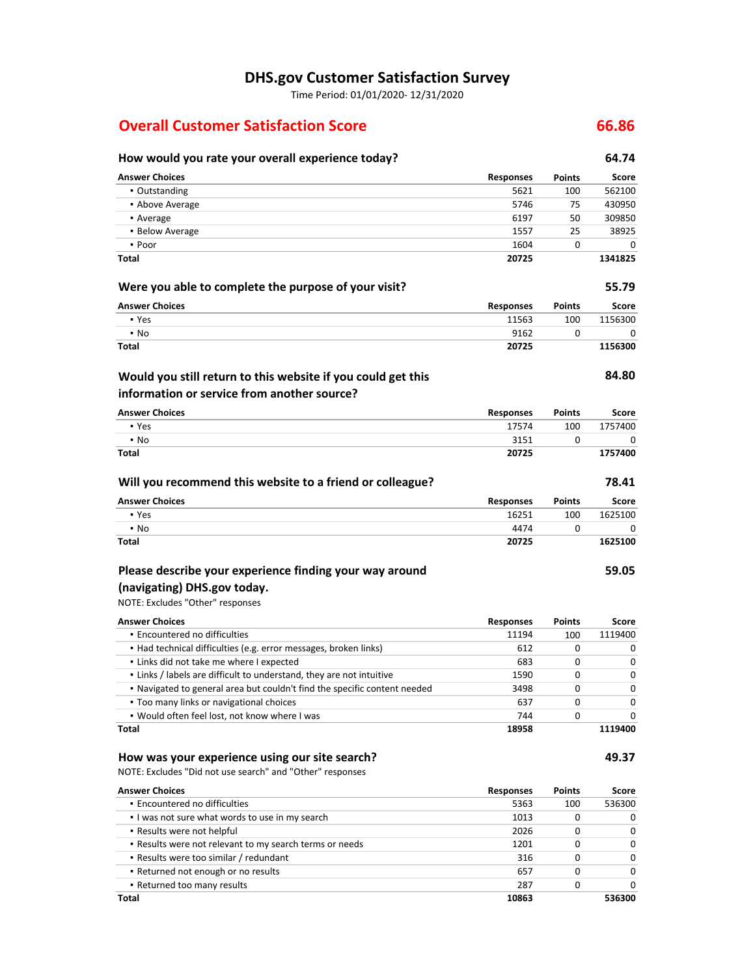## **DHS.gov Customer Satisfaction Survey**

Time Period: 01/01/2020‐ 12/31/2020

# **Overall Customer Satisfaction Score**

### **How would you rate your overall experience today? Were you able to complete the purpose of your visit? Will you recommend this website to a friend or colleague?** NOTE: Excludes "Other" responses **Encountered no difficulties**  ▪ Had technical difficulties (e.g. error messages, broken links) **.** Links did not take me where I expected ▪ Links / labels are difficult to understand, they are not intuitive ▪ Navigated to general area but couldn't find the specific content needed **Too many links or navigational choices**  ▪ Would often feel lost, not know where I was  **How was your experience using our site search?** NOTE: Excludes "Did not use search" and "Other" responses **Encountered no difficulties Would you still return to this website if you could get this information or service from another source? Please describe your experience finding your way around (navigating) DHS.gov today. Answer Choices** ▪ Outstanding **• Above Average** ▪ Average **• Below Average** ▪ Poor **Total Answer Choices** ▪ Yes ▪ No **Total Answer Choices** ▪ Yes ▪ No **Total Answer Choices** ▪ Yes ▪ No **Total Answer Choices Responses** 5621 5746 6197 1557 1604 **20725 Responses** 11563 9162 **20725 Responses** 17574 3151 **20725 Responses** 16251 4474 **20725 Responses** 11194 **Points** 100 75 50 25 0 **Points** 100 0 **Points** 100 0 **Points** 100  $\Omega$ **Points** 100 **64.74 Score** 562100 430950 309850 38925 0 **1341825 55.79 Score** 1156300  $\Omega$ **1156300 84.80 Score** 1757400 0 **1757400 78.41 Score** 1625100  $\Omega$ **1625100 59.05 Score** 1119400 **Total Answer Choices** 612 683 1590 3498 637 744 **18958 Responses** 5363 0 0  $\Omega$ 0  $\Omega$ 0 **Points** 100 0 0  $\Omega$ 0  $\Omega$ 0 **1119400 49.37 Score** 536300

**66.86**